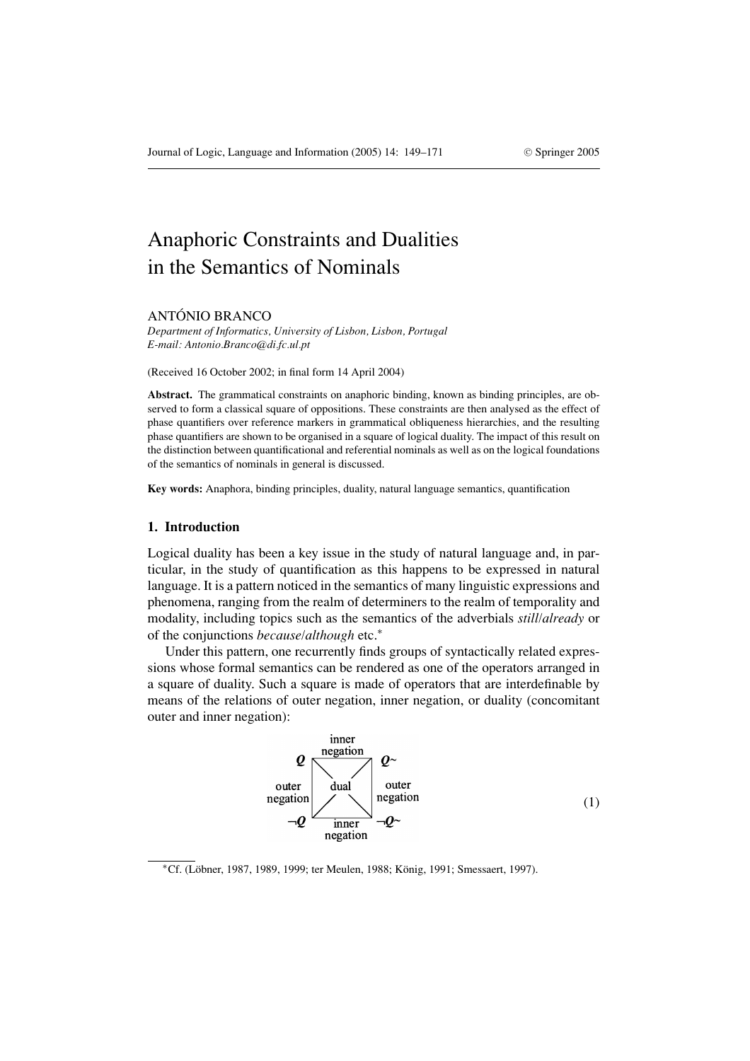# Anaphoric Constraints and Dualities in the Semantics of Nominals

### ANTONIO BRANCO ´

*Department of Informatics, University of Lisbon, Lisbon, Portugal E-mail: Antonio.Branco@di.fc.ul.pt*

(Received 16 October 2002; in final form 14 April 2004)

**Abstract.** The grammatical constraints on anaphoric binding, known as binding principles, are observed to form a classical square of oppositions. These constraints are then analysed as the effect of phase quantifiers over reference markers in grammatical obliqueness hierarchies, and the resulting phase quantifiers are shown to be organised in a square of logical duality. The impact of this result on the distinction between quantificational and referential nominals as well as on the logical foundations of the semantics of nominals in general is discussed.

**Key words:** Anaphora, binding principles, duality, natural language semantics, quantification

# **1. Introduction**

Logical duality has been a key issue in the study of natural language and, in particular, in the study of quantification as this happens to be expressed in natural language. It is a pattern noticed in the semantics of many linguistic expressions and phenomena, ranging from the realm of determiners to the realm of temporality and modality, including topics such as the semantics of the adverbials *still/already* or of the conjunctions *because/although* etc.<sup>∗</sup>

Under this pattern, one recurrently finds groups of syntactically related expressions whose formal semantics can be rendered as one of the operators arranged in a square of duality. Such a square is made of operators that are interdefinable by means of the relations of outer negation, inner negation, or duality (concomitant outer and inner negation):



<sup>∗</sup>Cf. (L¨obner, 1987, 1989, 1999; ter Meulen, 1988; K¨onig, 1991; Smessaert, 1997).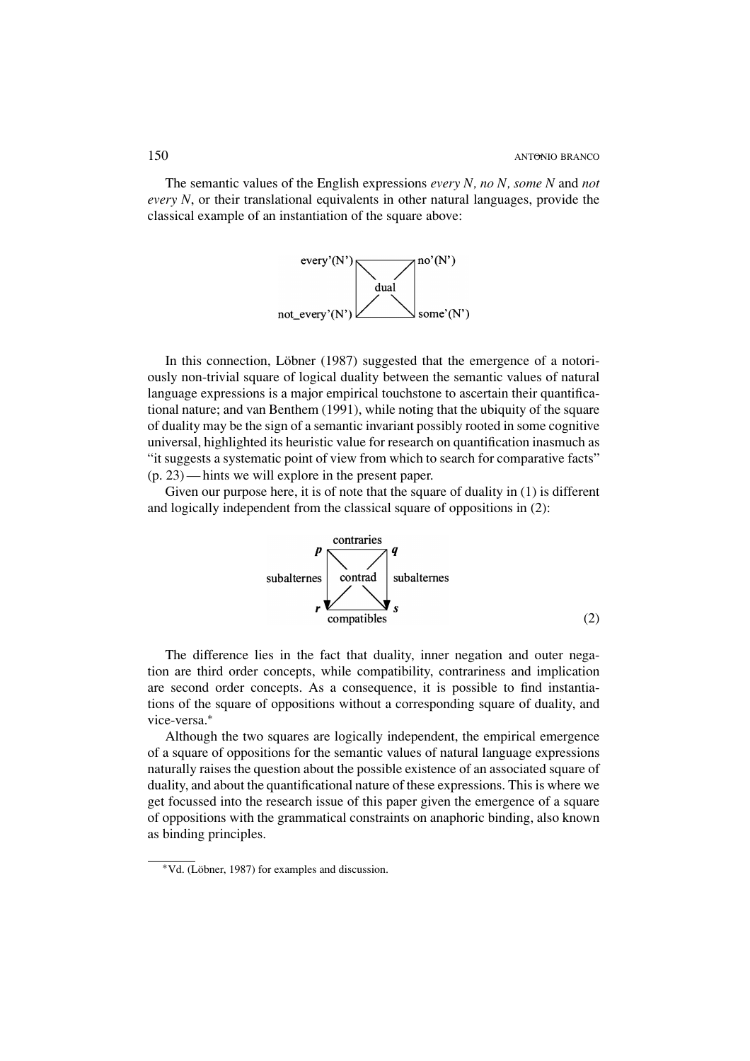The semantic values of the English expressions *every N, no N, some N* and *not every N*, or their translational equivalents in other natural languages, provide the classical example of an instantiation of the square above:



In this connection, Löbner (1987) suggested that the emergence of a notoriously non-trivial square of logical duality between the semantic values of natural language expressions is a major empirical touchstone to ascertain their quantificational nature; and van Benthem (1991), while noting that the ubiquity of the square of duality may be the sign of a semantic invariant possibly rooted in some cognitive universal, highlighted its heuristic value for research on quantification inasmuch as "it suggests a systematic point of view from which to search for comparative facts" (p. 23) — hints we will explore in the present paper.

Given our purpose here, it is of note that the square of duality in (1) is different and logically independent from the classical square of oppositions in (2):



The difference lies in the fact that duality, inner negation and outer negation are third order concepts, while compatibility, contrariness and implication are second order concepts. As a consequence, it is possible to find instantiations of the square of oppositions without a corresponding square of duality, and vice-versa.<sup>∗</sup>

Although the two squares are logically independent, the empirical emergence of a square of oppositions for the semantic values of natural language expressions naturally raises the question about the possible existence of an associated square of duality, and about the quantificational nature of these expressions. This is where we get focussed into the research issue of this paper given the emergence of a square of oppositions with the grammatical constraints on anaphoric binding, also known as binding principles.

<sup>∗</sup>Vd. (L¨obner, 1987) for examples and discussion.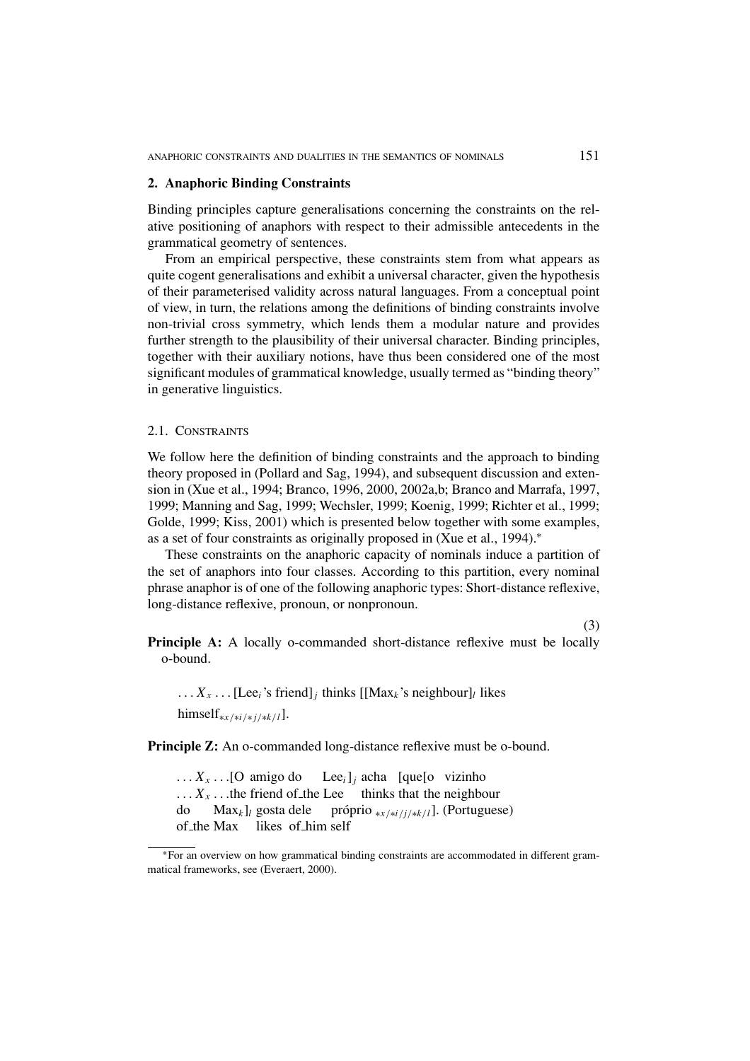### **2. Anaphoric Binding Constraints**

Binding principles capture generalisations concerning the constraints on the relative positioning of anaphors with respect to their admissible antecedents in the grammatical geometry of sentences.

From an empirical perspective, these constraints stem from what appears as quite cogent generalisations and exhibit a universal character, given the hypothesis of their parameterised validity across natural languages. From a conceptual point of view, in turn, the relations among the definitions of binding constraints involve non-trivial cross symmetry, which lends them a modular nature and provides further strength to the plausibility of their universal character. Binding principles, together with their auxiliary notions, have thus been considered one of the most significant modules of grammatical knowledge, usually termed as "binding theory" in generative linguistics.

#### 2.1. CONSTRAINTS

We follow here the definition of binding constraints and the approach to binding theory proposed in (Pollard and Sag, 1994), and subsequent discussion and extension in (Xue et al., 1994; Branco, 1996, 2000, 2002a,b; Branco and Marrafa, 1997, 1999; Manning and Sag, 1999; Wechsler, 1999; Koenig, 1999; Richter et al., 1999; Golde, 1999; Kiss, 2001) which is presented below together with some examples, as a set of four constraints as originally proposed in (Xue et al., 1994).<sup>∗</sup>

These constraints on the anaphoric capacity of nominals induce a partition of the set of anaphors into four classes. According to this partition, every nominal phrase anaphor is of one of the following anaphoric types: Short-distance reflexive, long-distance reflexive, pronoun, or nonpronoun.

(3)

**Principle A:** A locally o-commanded short-distance reflexive must be locally o-bound.

 $\ldots$  *X<sub>x</sub>* ... [Lee<sub>*i*</sub>'s friend]<sub>*j*</sub> thinks [[Max<sub>*k*</sub>'s neighbour]<sub>*l*</sub> likes himself<sup>∗</sup>*x*/∗*i*/<sup>∗</sup> *<sup>j</sup>*/∗*k*/*<sup>l</sup>*].

**Principle Z:** An o-commanded long-distance reflexive must be o-bound.

... *Xx* ...[O amigo do Lee*i*]*<sup>j</sup>* acha [que[o vizinho  $\ldots$  *X<sub>x</sub>* . . .the friend of the Lee thinks that the neighbour do Max*<sup>k</sup>* ]*<sup>l</sup>* gosta dele pr´oprio <sup>∗</sup>*x*/∗*i*/*j*/∗*k*/*<sup>l</sup>*]. (Portuguese) of the Max likes of him self

<sup>∗</sup>For an overview on how grammatical binding constraints are accommodated in different grammatical frameworks, see (Everaert, 2000).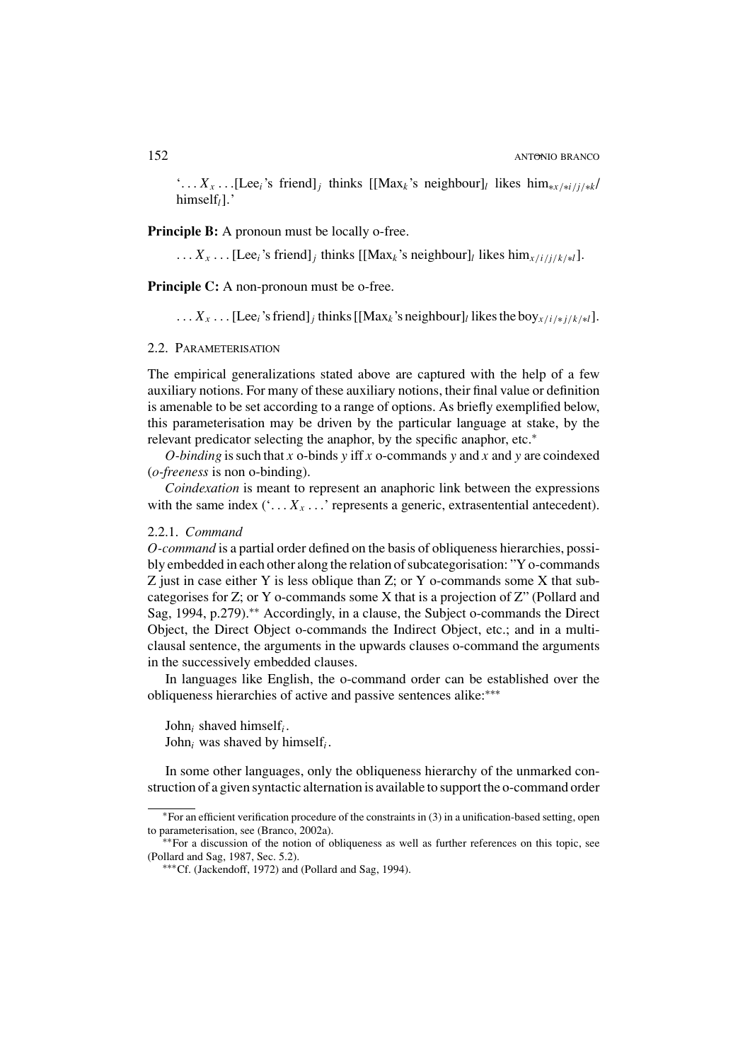'... *Xx* ...[Lee*i*'s friend]*<sup>j</sup>* thinks [[Max*<sup>k</sup>* 's neighbour]*<sup>l</sup>* likes him<sup>∗</sup>*x*/∗*i*/*j*/∗*<sup>k</sup>* / himself*l*].'

**Principle B:** A pronoun must be locally o-free.

...  $X_x$ ... [Lee<sub>*i*</sub>'s friend]<sub>*j*</sub> thinks [[Max<sub>*k*</sub>'s neighbour]<sub>*l*</sub> likes him<sub>*x*/*i*//*i*/*k*/\**l*].</sub>

**Principle C:** A non-pronoun must be o-free.

...  $X_x$ ... [Lee<sub>i</sub>'s friend]<sub>*j*</sub> thinks [[Max<sub>k</sub>'s neighbour]<sub>*l*</sub> likes the boy<sub>x/*i*/\**i*/k/\**l*].</sub>

# 2.2. PARAMETERISATION

The empirical generalizations stated above are captured with the help of a few auxiliary notions. For many of these auxiliary notions, their final value or definition is amenable to be set according to a range of options. As briefly exemplified below, this parameterisation may be driven by the particular language at stake, by the relevant predicator selecting the anaphor, by the specific anaphor, etc.<sup>∗</sup>

*O-binding* is such that *x* o-binds *y* iff *x* o-commands *y* and *x* and *y* are coindexed (*o-freeness* is non o-binding).

*Coindexation* is meant to represent an anaphoric link between the expressions with the same index  $($ ...  $X_x$ ...' represents a generic, extrasentential antecedent).

# 2.2.1. *Command*

*O-command* is a partial order defined on the basis of obliqueness hierarchies, possibly embedded in each other along the relation of subcategorisation: "Y o-commands Z just in case either Y is less oblique than Z; or Y o-commands some X that subcategorises for Z; or Y o-commands some X that is a projection of Z" (Pollard and Sag, 1994, p.279).<sup>\*\*</sup> Accordingly, in a clause, the Subject o-commands the Direct Object, the Direct Object o-commands the Indirect Object, etc.; and in a multiclausal sentence, the arguments in the upwards clauses o-command the arguments in the successively embedded clauses.

In languages like English, the o-command order can be established over the obliqueness hierarchies of active and passive sentences alike:∗∗∗

John*<sup>i</sup>* shaved himself*<sup>i</sup>* . John*<sup>i</sup>* was shaved by himself*<sup>i</sup>* .

In some other languages, only the obliqueness hierarchy of the unmarked construction of a given syntactic alternation is available to support the o-command order

to parameterisation, see (Branco, 2002a). ∗∗For a discussion of the notion of obliqueness as well as further references on this topic, see (Pollard and Sag, 1987, Sec. 5.2).

<sup>∗</sup>For an efficient verification procedure of the constraints in (3) in a unification-based setting, open

<sup>\*\*\*</sup>Cf. (Jackendoff, 1972) and (Pollard and Sag, 1994).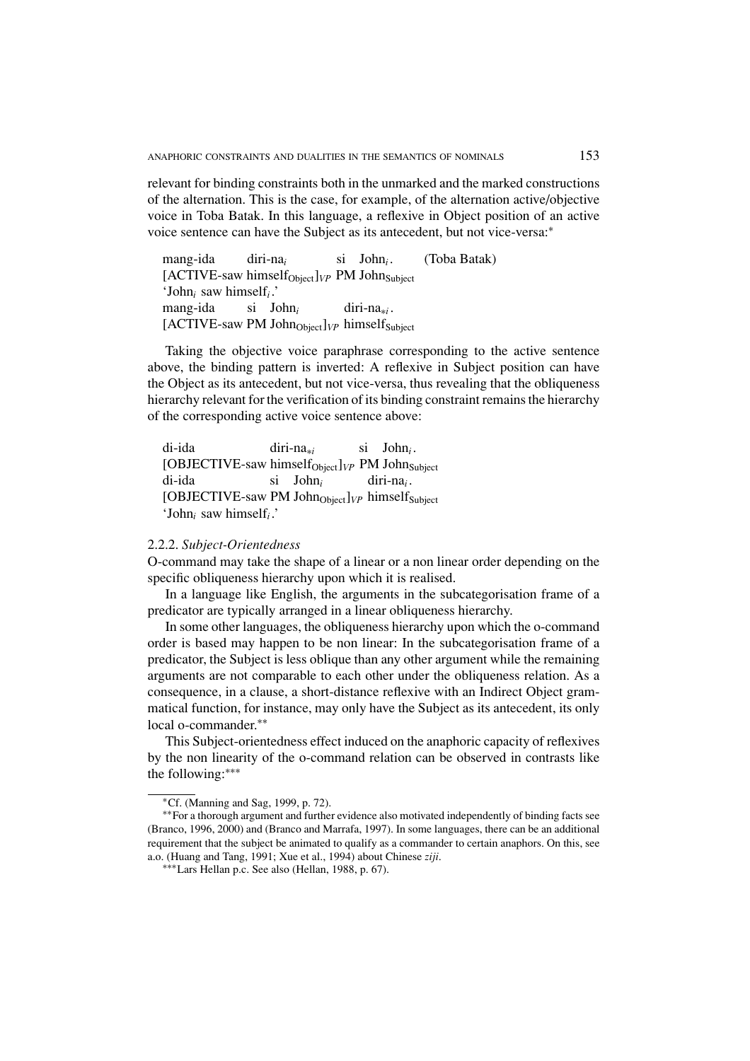relevant for binding constraints both in the unmarked and the marked constructions of the alternation. This is the case, for example, of the alternation active/objective voice in Toba Batak. In this language, a reflexive in Object position of an active voice sentence can have the Subject as its antecedent, but not vice-versa:<sup>∗</sup>

mang-ida diri-na*<sup>i</sup>* si John*<sup>i</sup>* . (Toba Batak) [ACTIVE-saw himself<sub>Object</sub>]<sub>VP</sub> PM John<sub>Subject</sub> 'John*<sup>i</sup>* saw himself*<sup>i</sup>* .' mang-ida si John*<sup>i</sup>* diri-na<sup>∗</sup>*<sup>i</sup>* . [ACTIVE-saw PM John<sub>Object</sub>]<sub>VP</sub> himself<sub>Subject</sub>

Taking the objective voice paraphrase corresponding to the active sentence above, the binding pattern is inverted: A reflexive in Subject position can have the Object as its antecedent, but not vice-versa, thus revealing that the obliqueness hierarchy relevant for the verification of its binding constraint remains the hierarchy of the corresponding active voice sentence above:

di-ida diri-na<sup>∗</sup>*<sup>i</sup>* si John*<sup>i</sup>* . [OBJECTIVE-saw himself<sub>Object</sub>]<sub>*VP*</sub> PM John<sub>Subject</sub> di-ida si John*<sup>i</sup>* diri-na*<sup>i</sup>* . [OBJECTIVE-saw PM John<sub>Object</sub>]<sub>*VP*</sub> himself<sub>Subject</sub> 'John*<sup>i</sup>* saw himself*<sup>i</sup>* .'

# 2.2.2. *Subject-Orientedness*

O-command may take the shape of a linear or a non linear order depending on the specific obliqueness hierarchy upon which it is realised.

In a language like English, the arguments in the subcategorisation frame of a predicator are typically arranged in a linear obliqueness hierarchy.

In some other languages, the obliqueness hierarchy upon which the o-command order is based may happen to be non linear: In the subcategorisation frame of a predicator, the Subject is less oblique than any other argument while the remaining arguments are not comparable to each other under the obliqueness relation. As a consequence, in a clause, a short-distance reflexive with an Indirect Object grammatical function, for instance, may only have the Subject as its antecedent, its only local o-commander.∗∗

This Subject-orientedness effect induced on the anaphoric capacity of reflexives by the non linearity of the o-command relation can be observed in contrasts like the following:∗∗∗

<sup>∗</sup>Cf. (Manning and Sag, 1999, p. 72).

<sup>∗∗</sup>For a thorough argument and further evidence also motivated independently of binding facts see (Branco, 1996, 2000) and (Branco and Marrafa, 1997). In some languages, there can be an additional requirement that the subject be animated to qualify as a commander to certain anaphors. On this, see a.o. (Huang and Tang, 1991; Xue et al., 1994) about Chinese *ziji*. ∗∗∗Lars Hellan p.c. See also (Hellan, 1988, p. 67).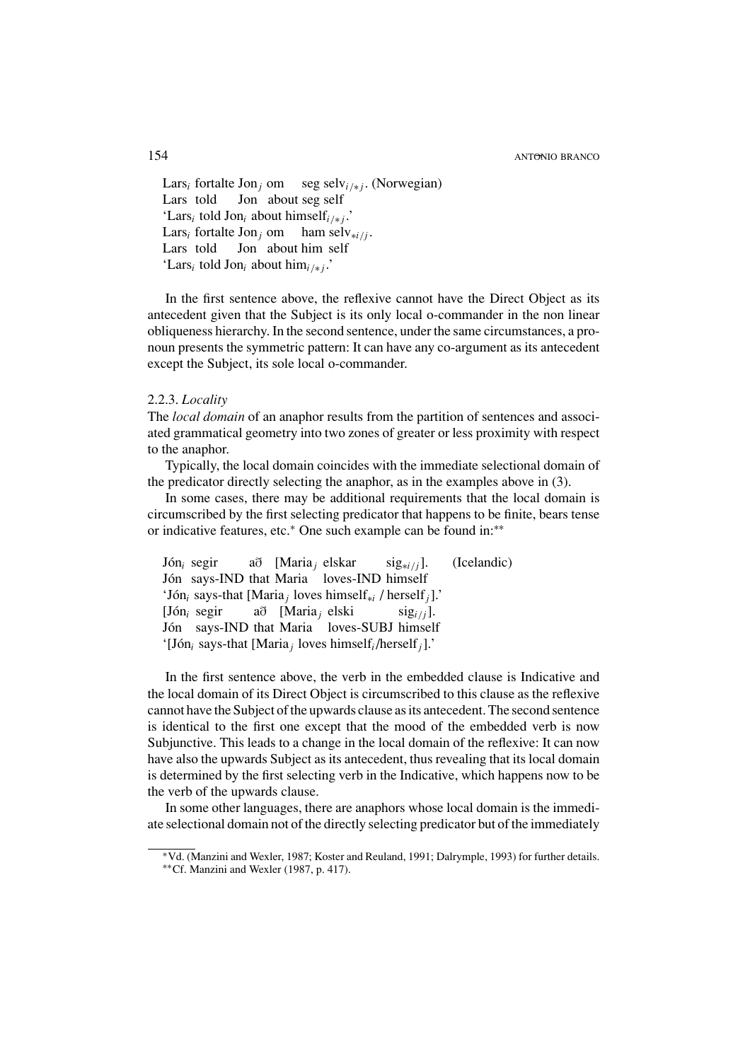Lars<sub>*i*</sub> fortalte Jon<sub>*j*</sub> om seg selv<sub>*i*/\**j*</sub>. (Norwegian) Lars told Jon about seg self 'Lars*<sup>i</sup>* told Jon*<sup>i</sup>* about himself*<sup>i</sup>*/<sup>∗</sup> *<sup>j</sup>* .' Lars<sub>*i*</sub> fortalte Jon<sub>*i*</sub> om ham selv<sub>\**i*/*j*</sub>. Lars told Jon about him self 'Lars*<sup>i</sup>* told Jon*<sup>i</sup>* about him*<sup>i</sup>*/<sup>∗</sup> *<sup>j</sup>* .'

In the first sentence above, the reflexive cannot have the Direct Object as its antecedent given that the Subject is its only local o-commander in the non linear obliqueness hierarchy. In the second sentence, under the same circumstances, a pronoun presents the symmetric pattern: It can have any co-argument as its antecedent except the Subject, its sole local o-commander.

# 2.2.3. *Locality*

The *local domain* of an anaphor results from the partition of sentences and associated grammatical geometry into two zones of greater or less proximity with respect to the anaphor.

Typically, the local domain coincides with the immediate selectional domain of the predicator directly selecting the anaphor, as in the examples above in (3).

In some cases, there may be additional requirements that the local domain is circumscribed by the first selecting predicator that happens to be finite, bears tense or indicative features, etc.<sup>∗</sup> One such example can be found in:∗∗

Jón<sub>i</sub> segir að [Maria<sub>*i*</sub> elskar sig<sub>∗i//</sub>]. (Icelandic) Jón says-IND that Maria loves-IND himself 'J´on*<sup>i</sup>* says-that [Maria *<sup>j</sup>* loves himself<sup>∗</sup>*<sup>i</sup>* / herself*j*].'  $[Jón<sub>i</sub> segir að [Maria<sub>i</sub> elski sig<sub>i/i</sub>].$ Jón says-IND that Maria loves-SUBJ himself '[Jón<sub>i</sub> says-that [Maria *j* loves himself<sub>*i*</sub>/herself<sub>*i*</sub>].'

In the first sentence above, the verb in the embedded clause is Indicative and the local domain of its Direct Object is circumscribed to this clause as the reflexive cannot have the Subject of the upwards clause as its antecedent. The second sentence is identical to the first one except that the mood of the embedded verb is now Subjunctive. This leads to a change in the local domain of the reflexive: It can now have also the upwards Subject as its antecedent, thus revealing that its local domain is determined by the first selecting verb in the Indicative, which happens now to be the verb of the upwards clause.

In some other languages, there are anaphors whose local domain is the immediate selectional domain not of the directly selecting predicator but of the immediately

<sup>∗</sup>Vd. (Manzini and Wexler, 1987; Koster and Reuland, 1991; Dalrymple, 1993) for further details. ∗∗Cf. Manzini and Wexler (1987, p. 417).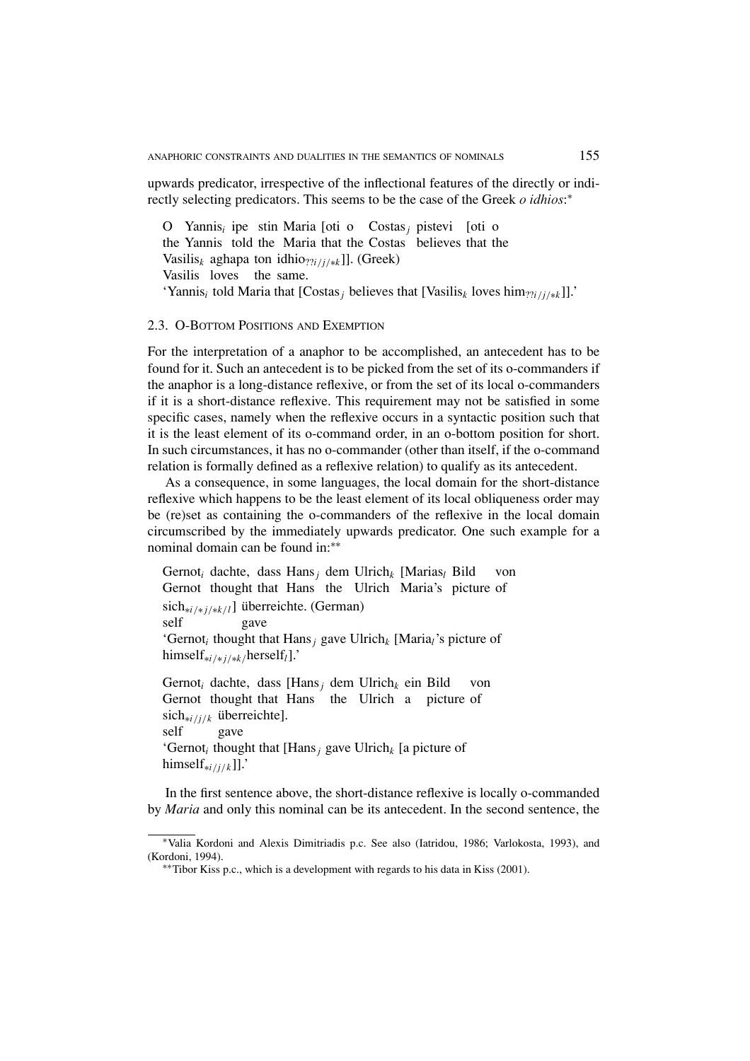upwards predicator, irrespective of the inflectional features of the directly or indirectly selecting predicators. This seems to be the case of the Greek *o idhios*: ∗

O Yannis*<sup>i</sup>* ipe stin Maria [oti o Costas*<sup>j</sup>* pistevi [oti o the Yannis told the Maria that the Costas believes that the Vasilis<sub>k</sub> aghapa ton idhio<sub>??*i*/*i*/\*k<sup></sup>]]. (Greek)</sub> Vasilis loves the same. 'Yannis*<sup>i</sup>* told Maria that [Costas*<sup>j</sup>* believes that [Vasilis*<sup>k</sup>* loves him??*<sup>i</sup>*/*j*/∗*<sup>k</sup>* ]].'

# 2.3. O-BOTTOM POSITIONS AND EXEMPTION

For the interpretation of a anaphor to be accomplished, an antecedent has to be found for it. Such an antecedent is to be picked from the set of its o-commanders if the anaphor is a long-distance reflexive, or from the set of its local o-commanders if it is a short-distance reflexive. This requirement may not be satisfied in some specific cases, namely when the reflexive occurs in a syntactic position such that it is the least element of its o-command order, in an o-bottom position for short. In such circumstances, it has no o-commander (other than itself, if the o-command relation is formally defined as a reflexive relation) to qualify as its antecedent.

As a consequence, in some languages, the local domain for the short-distance reflexive which happens to be the least element of its local obliqueness order may be (re)set as containing the o-commanders of the reflexive in the local domain circumscribed by the immediately upwards predicator. One such example for a nominal domain can be found in:∗∗

Gernot*<sup>i</sup>* dachte, dass Hans*<sup>j</sup>* dem Ulrich*<sup>k</sup>* [Marias*<sup>l</sup>* Bild von Gernot thought that Hans the Ulrich Maria's picture of sich<sup>∗</sup>*i*/<sup>∗</sup> *<sup>j</sup>*/∗*k*/*<sup>l</sup>*] ¨uberreichte. (German) self gave 'Gernot*<sup>i</sup>* thought that Hans*<sup>j</sup>* gave Ulrich*<sup>k</sup>* [Maria*l*'s picture of himself<sub>\**i/\*i/\*k*/herself<sub>l</sub>].'</sub> Gernot*<sup>i</sup>* dachte, dass [Hans*<sup>j</sup>* dem Ulrich*<sup>k</sup>* ein Bild von Gernot thought that Hans the Ulrich a picture of sich<sup>∗</sup>*i*/*j*/*<sup>k</sup>* uberreichte]. ¨ self gave 'Gernot*<sup>i</sup>* thought that [Hans*<sup>j</sup>* gave Ulrich*<sup>k</sup>* [a picture of himself $_{*i/i/k}$ ].'

In the first sentence above, the short-distance reflexive is locally o-commanded by *Maria* and only this nominal can be its antecedent. In the second sentence, the

<sup>∗</sup>Valia Kordoni and Alexis Dimitriadis p.c. See also (Iatridou, 1986; Varlokosta, 1993), and

<sup>\*\*</sup>Tibor Kiss p.c., which is a development with regards to his data in Kiss (2001).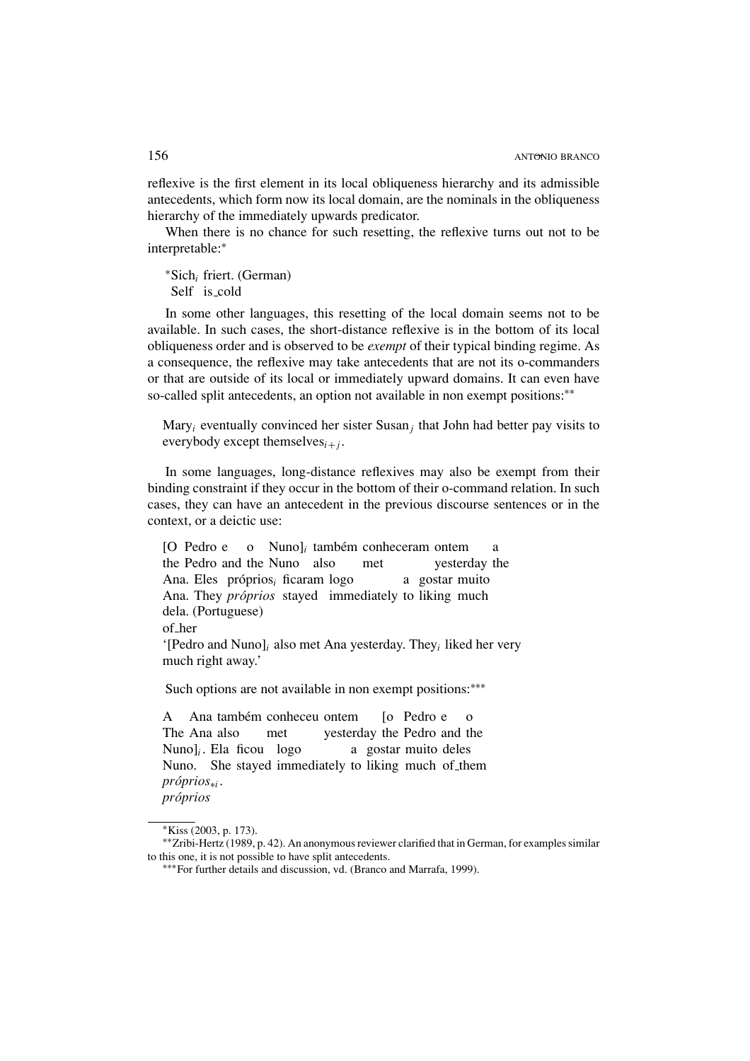reflexive is the first element in its local obliqueness hierarchy and its admissible antecedents, which form now its local domain, are the nominals in the obliqueness hierarchy of the immediately upwards predicator.

When there is no chance for such resetting, the reflexive turns out not to be interpretable:<sup>∗</sup>

<sup>∗</sup>Sich*<sup>i</sup>* friert. (German) Self is cold

In some other languages, this resetting of the local domain seems not to be available. In such cases, the short-distance reflexive is in the bottom of its local obliqueness order and is observed to be *exempt* of their typical binding regime. As a consequence, the reflexive may take antecedents that are not its o-commanders or that are outside of its local or immediately upward domains. It can even have so-called split antecedents, an option not available in non exempt positions:<sup>∗∗</sup>

Mary<sub>i</sub> eventually convinced her sister Susan<sub>i</sub> that John had better pay visits to everybody except themselves $i + i$ .

In some languages, long-distance reflexives may also be exempt from their binding constraint if they occur in the bottom of their o-command relation. In such cases, they can have an antecedent in the previous discourse sentences or in the context, or a deictic use:

[O Pedro e o Nuno]<sub>*i*</sub> também conheceram ontem a the Pedro and the Nuno also met yesterday the Ana. Eles próprios, ficaram logo a gostar muito Ana. They *próprios* stayed immediately to liking much dela. (Portuguese) of her '[Pedro and Nuno]*<sup>i</sup>* also met Ana yesterday. They*<sup>i</sup>* liked her very much right away.'

Such options are not available in non exempt positions:<sup>\*\*\*</sup>

A Ana também conheceu ontem [o Pedro e o The Ana also met vesterday the Pedro and the  $Nuno$ <sub>*i*</sub>. Ela ficou logo a gostar muito deles Nuno. She stayed immediately to liking much of them  $próprios_{*i}$ . *proprios ´*

<sup>∗</sup>Kiss (2003, p. 173).

<sup>∗∗</sup>Zribi-Hertz (1989, p. 42). An anonymous reviewer clarified that in German, for examples similar

<sup>\*\*\*</sup>For further details and discussion, vd. (Branco and Marrafa, 1999).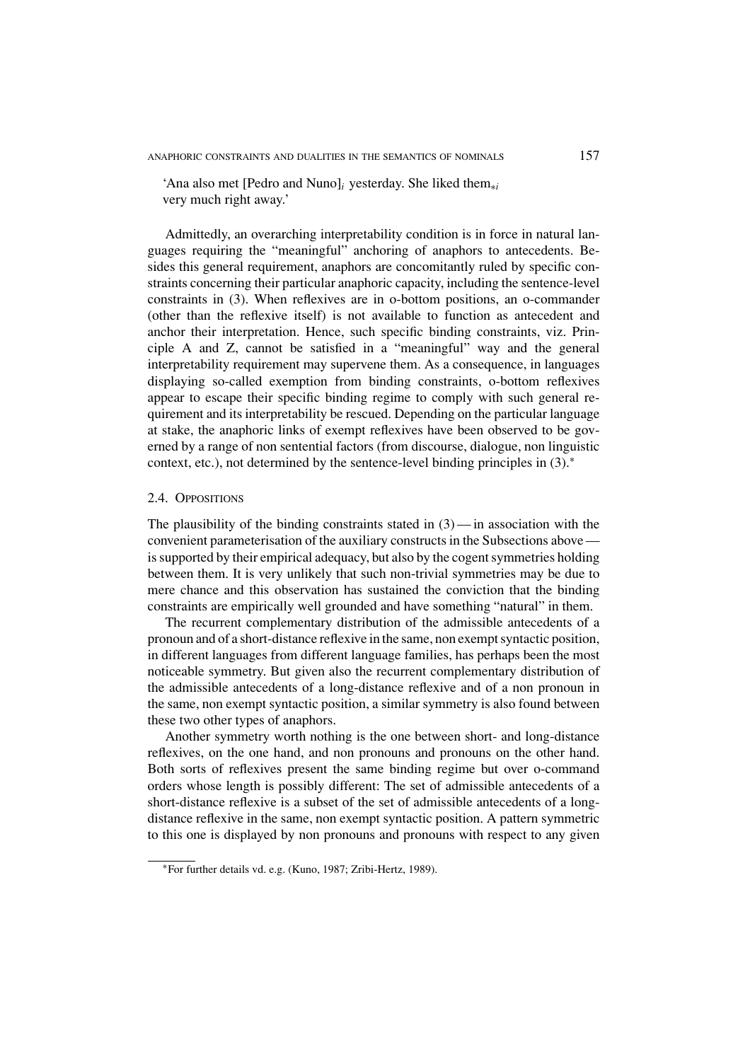'Ana also met [Pedro and Nuno]*<sup>i</sup>* yesterday. She liked them<sup>∗</sup>*<sup>i</sup>* very much right away.'

Admittedly, an overarching interpretability condition is in force in natural languages requiring the "meaningful" anchoring of anaphors to antecedents. Besides this general requirement, anaphors are concomitantly ruled by specific constraints concerning their particular anaphoric capacity, including the sentence-level constraints in (3). When reflexives are in o-bottom positions, an o-commander (other than the reflexive itself) is not available to function as antecedent and anchor their interpretation. Hence, such specific binding constraints, viz. Principle A and Z, cannot be satisfied in a "meaningful" way and the general interpretability requirement may supervene them. As a consequence, in languages displaying so-called exemption from binding constraints, o-bottom reflexives appear to escape their specific binding regime to comply with such general requirement and its interpretability be rescued. Depending on the particular language at stake, the anaphoric links of exempt reflexives have been observed to be governed by a range of non sentential factors (from discourse, dialogue, non linguistic context, etc.), not determined by the sentence-level binding principles in (3).<sup>∗</sup>

#### 2.4. OPPOSITIONS

The plausibility of the binding constraints stated in  $(3)$ —in association with the convenient parameterisation of the auxiliary constructs in the Subsections above is supported by their empirical adequacy, but also by the cogent symmetries holding between them. It is very unlikely that such non-trivial symmetries may be due to mere chance and this observation has sustained the conviction that the binding constraints are empirically well grounded and have something "natural" in them.

The recurrent complementary distribution of the admissible antecedents of a pronoun and of a short-distance reflexive in the same, non exempt syntactic position, in different languages from different language families, has perhaps been the most noticeable symmetry. But given also the recurrent complementary distribution of the admissible antecedents of a long-distance reflexive and of a non pronoun in the same, non exempt syntactic position, a similar symmetry is also found between these two other types of anaphors.

Another symmetry worth nothing is the one between short- and long-distance reflexives, on the one hand, and non pronouns and pronouns on the other hand. Both sorts of reflexives present the same binding regime but over o-command orders whose length is possibly different: The set of admissible antecedents of a short-distance reflexive is a subset of the set of admissible antecedents of a longdistance reflexive in the same, non exempt syntactic position. A pattern symmetric to this one is displayed by non pronouns and pronouns with respect to any given

<sup>∗</sup>For further details vd. e.g. (Kuno, 1987; Zribi-Hertz, 1989).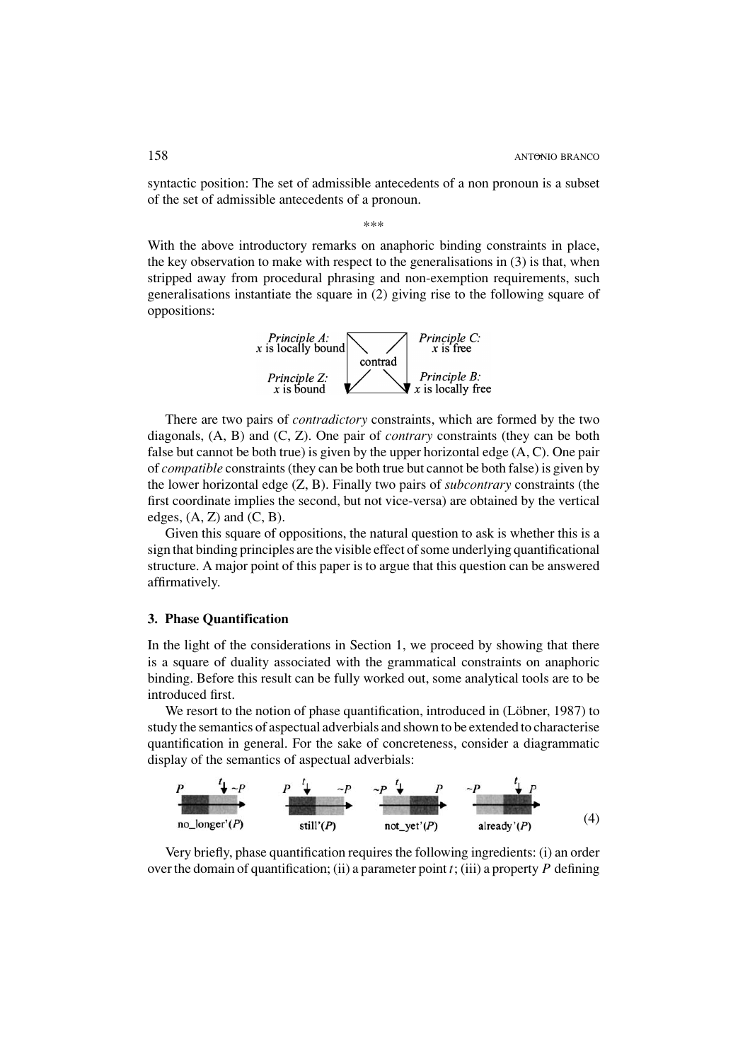syntactic position: The set of admissible antecedents of a non pronoun is a subset of the set of admissible antecedents of a pronoun.

\*\*\*

With the above introductory remarks on anaphoric binding constraints in place, the key observation to make with respect to the generalisations in (3) is that, when stripped away from procedural phrasing and non-exemption requirements, such generalisations instantiate the square in (2) giving rise to the following square of oppositions:



There are two pairs of *contradictory* constraints, which are formed by the two diagonals, (A, B) and (C, Z). One pair of *contrary* constraints (they can be both false but cannot be both true) is given by the upper horizontal edge (A, C). One pair of *compatible* constraints (they can be both true but cannot be both false) is given by the lower horizontal edge (Z, B). Finally two pairs of *subcontrary* constraints (the first coordinate implies the second, but not vice-versa) are obtained by the vertical edges,  $(A, Z)$  and  $(C, B)$ .

Given this square of oppositions, the natural question to ask is whether this is a sign that binding principles are the visible effect of some underlying quantificational structure. A major point of this paper is to argue that this question can be answered affirmatively.

# **3. Phase Quantification**

In the light of the considerations in Section 1, we proceed by showing that there is a square of duality associated with the grammatical constraints on anaphoric binding. Before this result can be fully worked out, some analytical tools are to be introduced first.

We resort to the notion of phase quantification, introduced in (Löbner, 1987) to study the semantics of aspectual adverbials and shown to be extended to characterise quantification in general. For the sake of concreteness, consider a diagrammatic display of the semantics of aspectual adverbials:



Very briefly, phase quantification requires the following ingredients: (i) an order over the domain of quantification; (ii) a parameter point *t*; (iii) a property *P* defining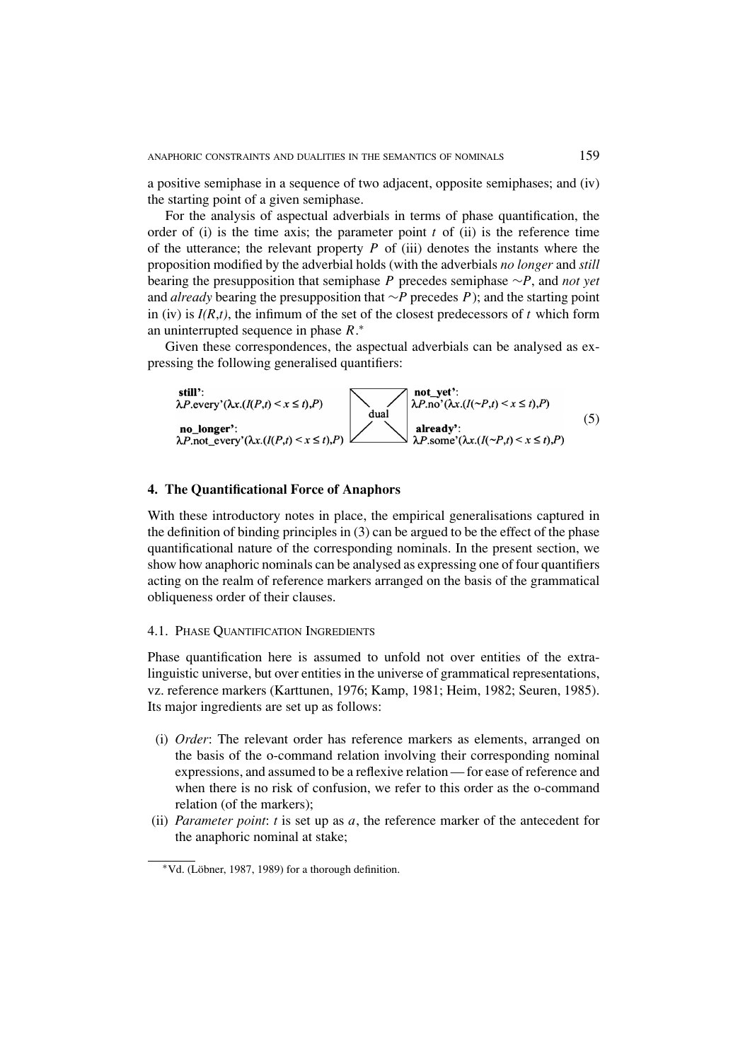a positive semiphase in a sequence of two adjacent, opposite semiphases; and (iv) the starting point of a given semiphase.

For the analysis of aspectual adverbials in terms of phase quantification, the order of (i) is the time axis; the parameter point  $t$  of (ii) is the reference time of the utterance; the relevant property  $P$  of (iii) denotes the instants where the proposition modified by the adverbial holds (with the adverbials *no longer* and *still* bearing the presupposition that semiphase *P* precedes semiphase ∼*P*, and *not yet* and *already* bearing the presupposition that ∼*P* precedes *P*); and the starting point in (iv) is  $I(R,t)$ , the infimum of the set of the closest predecessors of *t* which form an uninterrupted sequence in phase *R*. ∗

Given these correspondences, the aspectual adverbials can be analysed as expressing the following generalised quantifiers:

$$
\text{still':}\n\lambda P.\text{every'}(\lambda x.((IP,t) < x \le t), P)\n\text{no\_longer':}\n\lambda P.\text{not\_every'}(\lambda x.((IP,t) < x \le t), P)\n\text{all}\n\text{array':}\n\lambda P.\text{no'}(\lambda x.((I \sim P, t) < x \le t), P)\n\text{already':}\n\lambda P.\text{some'}(\lambda x.((I \sim P, t) < x \le t), P)\n\text{(5)}
$$

# **4. The Quantificational Force of Anaphors**

With these introductory notes in place, the empirical generalisations captured in the definition of binding principles in (3) can be argued to be the effect of the phase quantificational nature of the corresponding nominals. In the present section, we show how anaphoric nominals can be analysed as expressing one of four quantifiers acting on the realm of reference markers arranged on the basis of the grammatical obliqueness order of their clauses.

# 4.1. PHASE QUANTIFICATION INGREDIENTS

Phase quantification here is assumed to unfold not over entities of the extralinguistic universe, but over entities in the universe of grammatical representations, vz. reference markers (Karttunen, 1976; Kamp, 1981; Heim, 1982; Seuren, 1985). Its major ingredients are set up as follows:

- (i) *Order*: The relevant order has reference markers as elements, arranged on the basis of the o-command relation involving their corresponding nominal expressions, and assumed to be a reflexive relation — for ease of reference and when there is no risk of confusion, we refer to this order as the o-command relation (of the markers);
- (ii) *Parameter point*: *t* is set up as *a*, the reference marker of the antecedent for the anaphoric nominal at stake;

<sup>∗</sup>Vd. (L¨obner, 1987, 1989) for a thorough definition.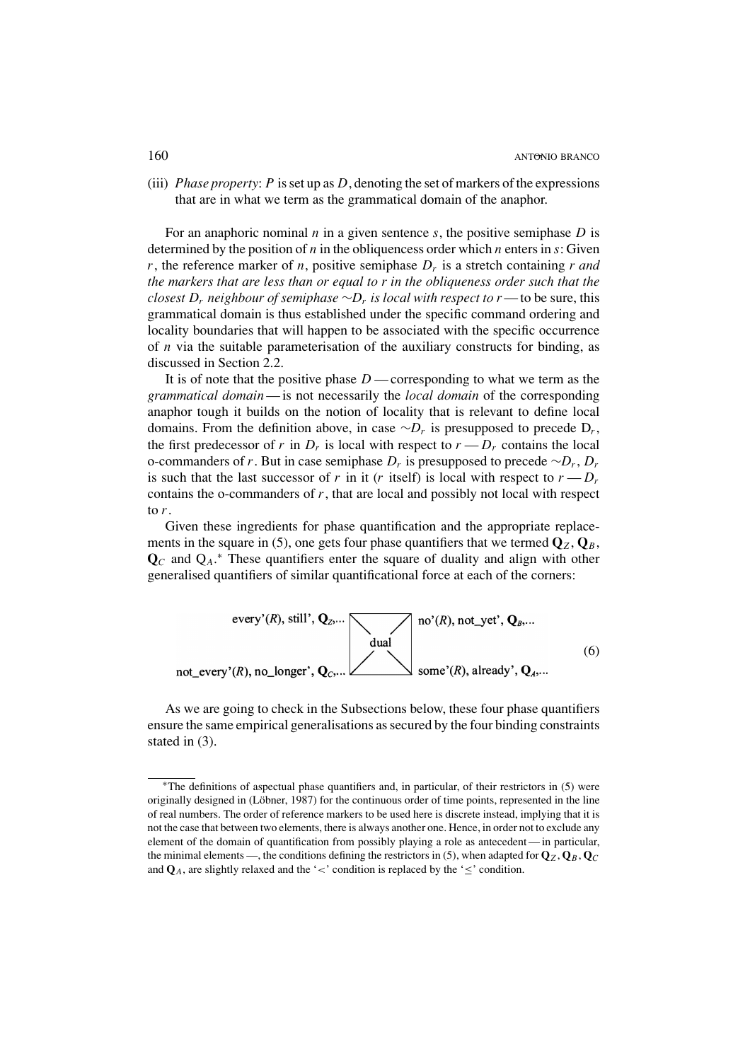(iii) *Phase property: P* is set up as D, denoting the set of markers of the expressions that are in what we term as the grammatical domain of the anaphor.

For an anaphoric nominal *n* in a given sentence *s*, the positive semiphase *D* is determined by the position of *n* in the obliquencess order which *n* enters in *s*: Given *r*, the reference marker of *n*, positive semiphase  $D_r$  is a stretch containing *r* and *the markers that are less than or equal to r in the obliqueness order such that the closest Dr neighbour of semiphase* ∼*Dr is local with respect to r* — to be sure, this grammatical domain is thus established under the specific command ordering and locality boundaries that will happen to be associated with the specific occurrence of *n* via the suitable parameterisation of the auxiliary constructs for binding, as discussed in Section 2.2.

It is of note that the positive phase  $D$  — corresponding to what we term as the *grammatical domain*— is not necessarily the *local domain* of the corresponding anaphor tough it builds on the notion of locality that is relevant to define local domains. From the definition above, in case  $\sim D_r$  is presupposed to precede  $D_r$ , the first predecessor of *r* in  $D_r$  is local with respect to  $r - D_r$  contains the local o-commanders of *r*. But in case semiphase *Dr* is presupposed to precede ∼*Dr*, *Dr* is such that the last successor of *r* in it (*r* itself) is local with respect to  $r - D_r$ contains the o-commanders of *r*, that are local and possibly not local with respect to *r*.

Given these ingredients for phase quantification and the appropriate replacements in the square in (5), one gets four phase quantifiers that we termed  $\mathbf{Q}_z$ ,  $\mathbf{Q}_B$ , **Q***<sup>C</sup>* and Q*A*. <sup>∗</sup> These quantifiers enter the square of duality and align with other generalised quantifiers of similar quantificational force at each of the corners:



As we are going to check in the Subsections below, these four phase quantifiers ensure the same empirical generalisations as secured by the four binding constraints stated in (3).

<sup>∗</sup>The definitions of aspectual phase quantifiers and, in particular, of their restrictors in (5) were originally designed in (Löbner, 1987) for the continuous order of time points, represented in the line of real numbers. The order of reference markers to be used here is discrete instead, implying that it is not the case that between two elements, there is always another one. Hence, in order not to exclude any element of the domain of quantification from possibly playing a role as antecedent — in particular, the minimal elements —, the conditions defining the restrictors in (5), when adapted for  $\mathbf{Q}_Z$ ,  $\mathbf{Q}_R$ ,  $\mathbf{Q}_C$ and  $\mathbf{Q}_A$ , are slightly relaxed and the '<' condition is replaced by the ' $\leq$ ' condition.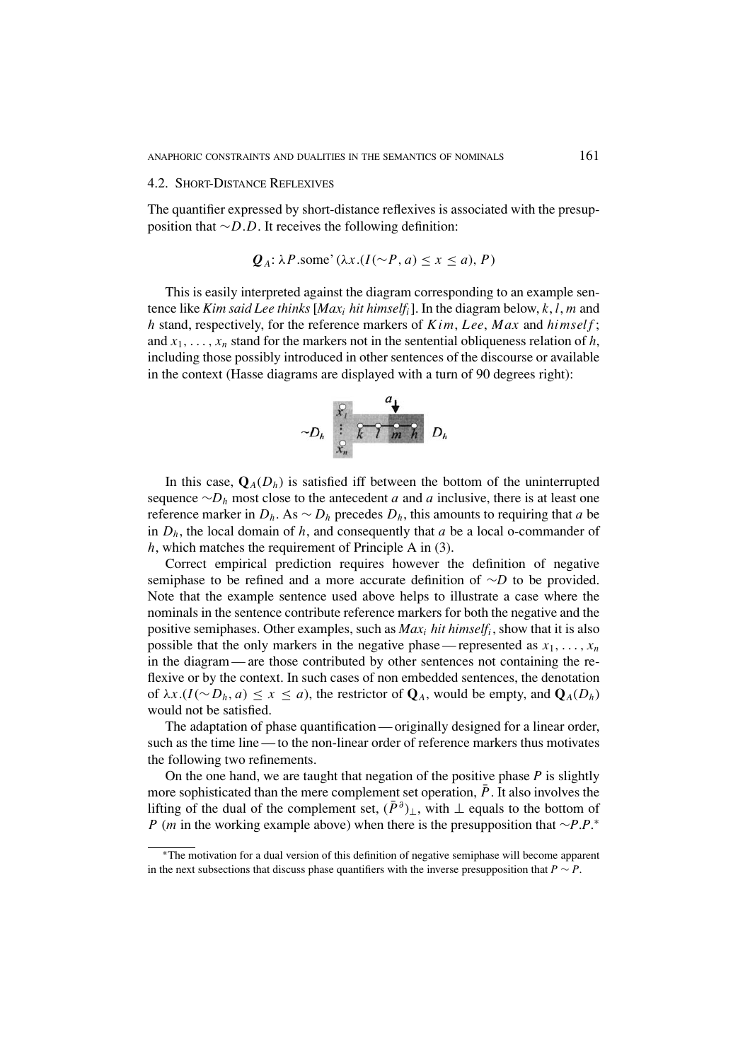#### 4.2. SHORT-DISTANCE REFLEXIVES

The quantifier expressed by short-distance reflexives is associated with the presupposition that ∼*D*.*D*. It receives the following definition:

$$
Q_A
$$
:  $\lambda P$ .some' ( $\lambda x$ .( $I(\sim P, a) \le x \le a$ ),  $P$ )

This is easily interpreted against the diagram corresponding to an example sentence like *Kim said Lee thinks* [*Maxi hit himselfi*]. In the diagram below, *k*, *l*, *m* and *h* stand, respectively, for the reference markers of *Kim*, *Lee*, *Max* and *himsel f* ; and  $x_1, \ldots, x_n$  stand for the markers not in the sentential obliqueness relation of *h*, including those possibly introduced in other sentences of the discourse or available in the context (Hasse diagrams are displayed with a turn of 90 degrees right):



In this case,  $\mathbf{Q}_A(D_h)$  is satisfied iff between the bottom of the uninterrupted sequence ∼*D<sub>h</sub>* most close to the antecedent *a* and *a* inclusive, there is at least one reference marker in  $D_h$ . As  $\sim D_h$  precedes  $D_h$ , this amounts to requiring that *a* be in  $D<sub>h</sub>$ , the local domain of  $h$ , and consequently that  $a$  be a local o-commander of *h*, which matches the requirement of Principle A in (3).

Correct empirical prediction requires however the definition of negative semiphase to be refined and a more accurate definition of ∼*D* to be provided. Note that the example sentence used above helps to illustrate a case where the nominals in the sentence contribute reference markers for both the negative and the positive semiphases. Other examples, such as *Maxi hit himselfi* , show that it is also possible that the only markers in the negative phase — represented as  $x_1, \ldots, x_n$ in the diagram — are those contributed by other sentences not containing the reflexive or by the context. In such cases of non embedded sentences, the denotation of  $\lambda x \cdot (I(\sim D_h, a) \le x \le a)$ , the restrictor of  $\mathbf{Q}_A$ , would be empty, and  $\mathbf{Q}_A(D_h)$ would not be satisfied.

The adaptation of phase quantification — originally designed for a linear order, such as the time line — to the non-linear order of reference markers thus motivates the following two refinements.

On the one hand, we are taught that negation of the positive phase *P* is slightly more sophisticated than the mere complement set operation,  $\bar{P}$ . It also involves the lifting of the dual of the complement set,  $(\bar{P}^{\partial})$ <sub>⊥</sub>, with ⊥ equals to the bottom of *P* (*m* in the working example above) when there is the presupposition that ∼*P*.*P*.<sup>\*</sup>

<sup>∗</sup>The motivation for a dual version of this definition of negative semiphase will become apparent in the next subsections that discuss phase quantifiers with the inverse presupposition that *P* ∼ *P*.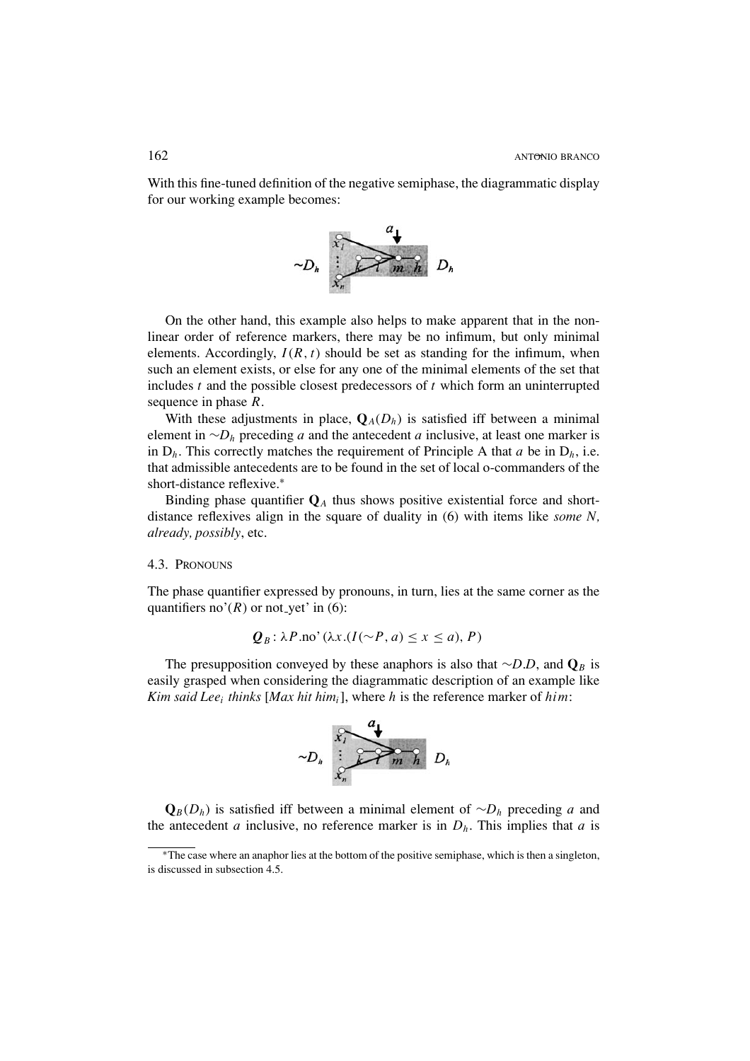With this fine-tuned definition of the negative semiphase, the diagrammatic display for our working example becomes:



On the other hand, this example also helps to make apparent that in the nonlinear order of reference markers, there may be no infimum, but only minimal elements. Accordingly,  $I(R, t)$  should be set as standing for the infimum, when such an element exists, or else for any one of the minimal elements of the set that includes *t* and the possible closest predecessors of *t* which form an uninterrupted sequence in phase *R*.

With these adjustments in place,  $\mathbf{Q}_A(D_h)$  is satisfied iff between a minimal element in ∼*Dh* preceding *a* and the antecedent *a* inclusive, at least one marker is in  $D_h$ . This correctly matches the requirement of Principle A that *a* be in  $D_h$ , i.e. that admissible antecedents are to be found in the set of local o-commanders of the short-distance reflexive.<sup>\*</sup>

Binding phase quantifier  $\mathbf{Q}_A$  thus shows positive existential force and shortdistance reflexives align in the square of duality in (6) with items like *some N, already, possibly*, etc.

#### 4.3. PRONOUNS

The phase quantifier expressed by pronouns, in turn, lies at the same corner as the quantifiers no'( $R$ ) or not yet' in (6):

$$
Q_B: \lambda P \text{.no'}(\lambda x. (I(\sim P, a) \le x \le a), P)
$$

The presupposition conveyed by these anaphors is also that  $\sim D.D$ , and  $\mathbf{Q}_B$  is easily grasped when considering the diagrammatic description of an example like *Kim said Lee<sub>i</sub> thinks* [*Max hit him<sub>i</sub>*], where *h* is the reference marker of *him*:



 $Q_B(D_h)$  is satisfied iff between a minimal element of  $\sim D_h$  preceding *a* and the antecedent *a* inclusive, no reference marker is in  $D<sub>h</sub>$ . This implies that *a* is

<sup>∗</sup>The case where an anaphor lies at the bottom of the positive semiphase, which is then a singleton, is discussed in subsection 4.5.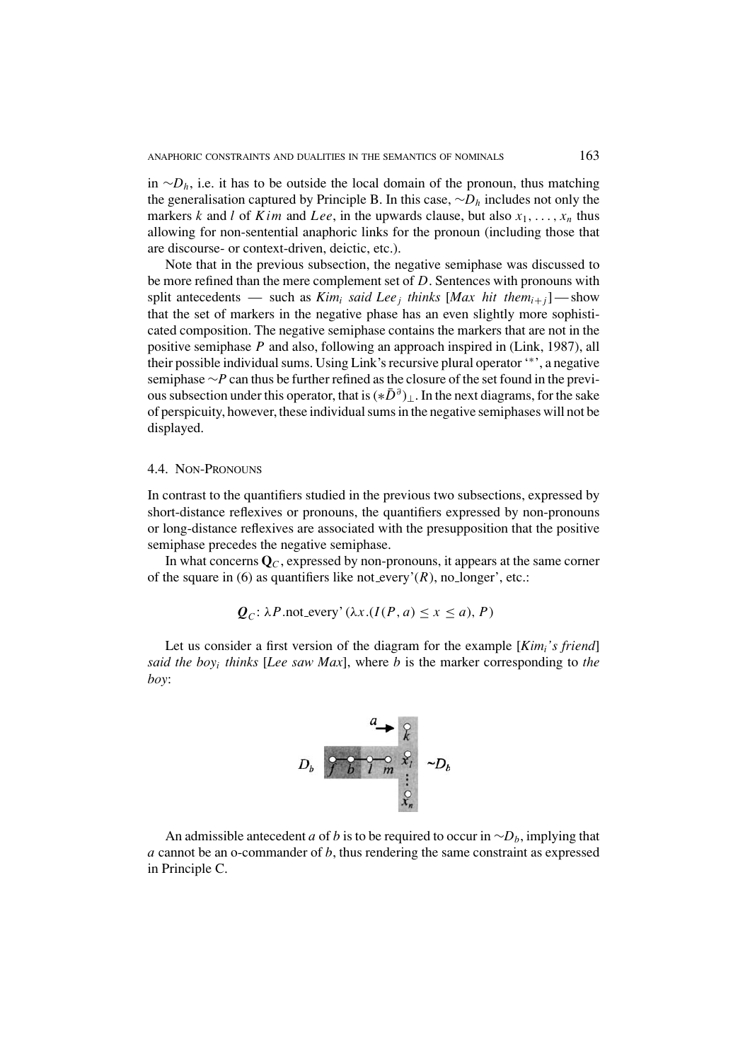in ∼*Dh*, i.e. it has to be outside the local domain of the pronoun, thus matching the generalisation captured by Principle B. In this case, ∼*Dh* includes not only the markers *k* and *l* of *Kim* and *Lee*, in the upwards clause, but also  $x_1, \ldots, x_n$  thus allowing for non-sentential anaphoric links for the pronoun (including those that are discourse- or context-driven, deictic, etc.).

Note that in the previous subsection, the negative semiphase was discussed to be more refined than the mere complement set of *D*. Sentences with pronouns with split antecedents — such as  $Kim_i$  *said Lee i thinks* [*Max hit them*<sub>*i*+*i*</sub>] — show that the set of markers in the negative phase has an even slightly more sophisticated composition. The negative semiphase contains the markers that are not in the positive semiphase *P* and also, following an approach inspired in (Link, 1987), all their possible individual sums. Using Link's recursive plural operator '<sup>∗</sup>', a negative semiphase ∼*P* can thus be further refined as the closure of the set found in the previous subsection under this operator, that is  $(*\bar{D}^{\partial})$ . In the next diagrams, for the sake of perspicuity, however, these individual sums in the negative semiphases will not be displayed.

### 4.4. NON-PRONOUNS

In contrast to the quantifiers studied in the previous two subsections, expressed by short-distance reflexives or pronouns, the quantifiers expressed by non-pronouns or long-distance reflexives are associated with the presupposition that the positive semiphase precedes the negative semiphase.

In what concerns  $\mathbf{Q}_C$ , expressed by non-pronouns, it appears at the same corner of the square in (6) as quantifiers like not every' $(R)$ , no longer', etc.:

$$
Q_C
$$
:  $\lambda P$ .not.every' ( $\lambda x$ . $(I(P, a) \le x \le a)$ ,  $P$ )

Let us consider a first version of the diagram for the example [*Kim<sub>i</sub>'s friend*] *said the boyi thinks* [*Lee saw Max*], where *b* is the marker corresponding to *the boy*:



An admissible antecedent *a* of *b* is to be required to occur in  $\sim D_h$ , implying that *a* cannot be an o-commander of *b*, thus rendering the same constraint as expressed in Principle C.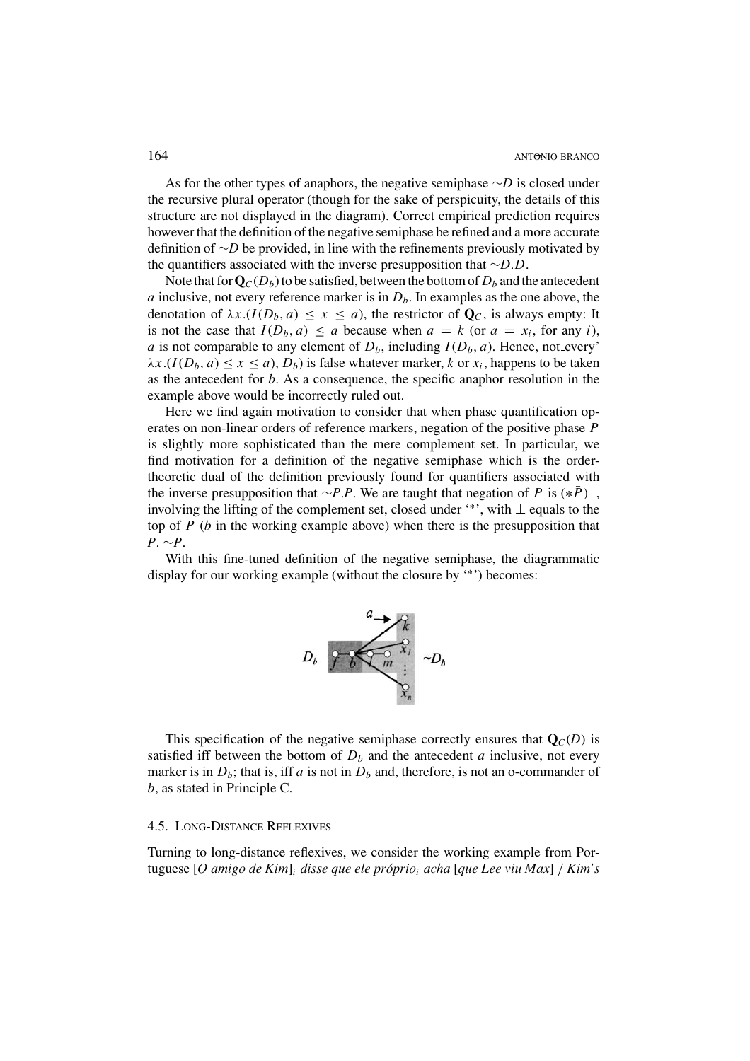As for the other types of anaphors, the negative semiphase ∼*D* is closed under the recursive plural operator (though for the sake of perspicuity, the details of this structure are not displayed in the diagram). Correct empirical prediction requires however that the definition of the negative semiphase be refined and a more accurate definition of ∼*D* be provided, in line with the refinements previously motivated by the quantifiers associated with the inverse presupposition that ∼*D*.*D*.

Note that for  $\mathbf{Q}_C(D_b)$  to be satisfied, between the bottom of  $D_b$  and the antecedent *a* inclusive, not every reference marker is in  $D<sub>b</sub>$ . In examples as the one above, the denotation of  $\lambda x$ .( $I(D_b, a) \le x \le a$ ), the restrictor of  $\mathbf{Q}_C$ , is always empty: It is not the case that  $I(D_b, a) \le a$  because when  $a = k$  (or  $a = x_i$ , for any *i*), *a* is not comparable to any element of  $D_b$ , including  $I(D_b, a)$ . Hence, not every'  $\lambda x$ .(*I*(*D<sub>b</sub>*, *a*)  $\leq$  *x*  $\leq$  *a*), *D<sub>b</sub>*) is false whatever marker, *k* or *x<sub>i</sub>*, happens to be taken as the antecedent for *b*. As a consequence, the specific anaphor resolution in the example above would be incorrectly ruled out.

Here we find again motivation to consider that when phase quantification operates on non-linear orders of reference markers, negation of the positive phase *P* is slightly more sophisticated than the mere complement set. In particular, we find motivation for a definition of the negative semiphase which is the ordertheoretic dual of the definition previously found for quantifiers associated with the inverse presupposition that ∼*P*.*P*. We are taught that negation of *P* is  $(*\bar{P})_{\perp}$ , involving the lifting of the complement set, closed under '<sup>∗</sup>', with ⊥ equals to the top of *P* (*b* in the working example above) when there is the presupposition that *P*. ∼*P*.

With this fine-tuned definition of the negative semiphase, the diagrammatic display for our working example (without the closure by '<sup>∗</sup>') becomes:



This specification of the negative semiphase correctly ensures that  $\mathbf{Q}_C(D)$  is satisfied iff between the bottom of  $D<sub>b</sub>$  and the antecedent *a* inclusive, not every marker is in  $D_b$ ; that is, iff *a* is not in  $D_b$  and, therefore, is not an o-commander of *b*, as stated in Principle C.

#### 4.5. LONG-DISTANCE REFLEXIVES

Turning to long-distance reflexives, we consider the working example from Portuguese [*O amigo de Kim*]*<sup>i</sup> disse que ele proprio ´ <sup>i</sup> acha* [*que Lee viu Max*] / *Kim's*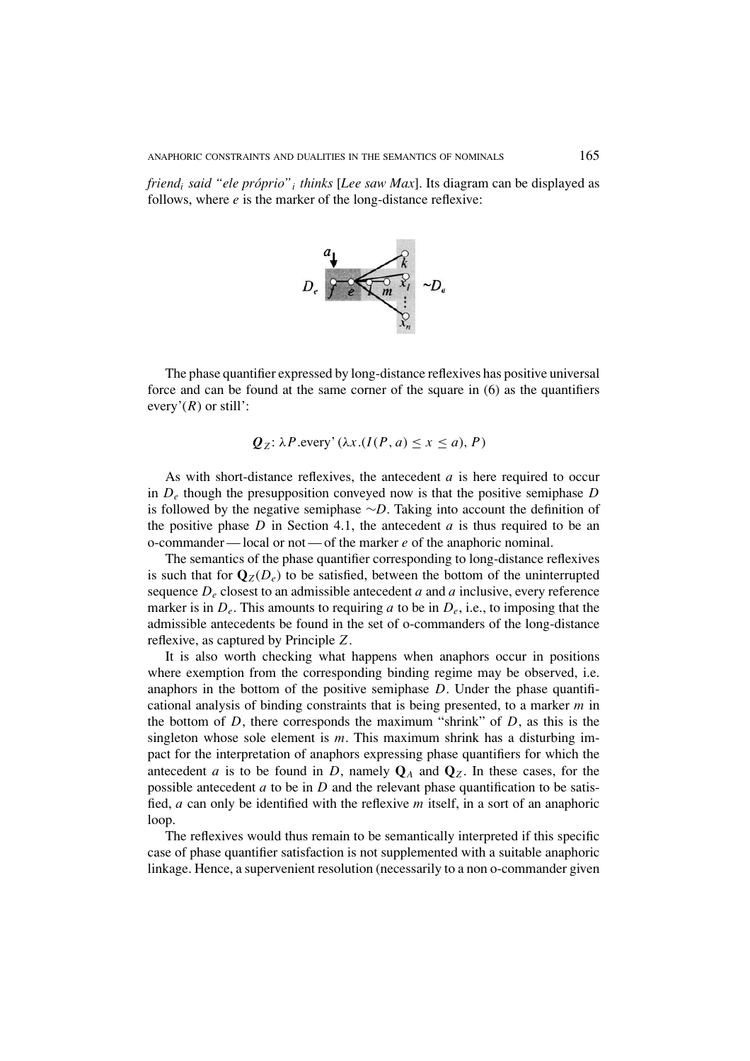*friendi said "ele proprio" ´ <sup>i</sup> thinks* [*Lee saw Max*]. Its diagram can be displayed as follows, where *e* is the marker of the long-distance reflexive:



The phase quantifier expressed by long-distance reflexives has positive universal force and can be found at the same corner of the square in (6) as the quantifiers every' $(R)$  or still':

$$
Q_Z
$$
:  $\lambda P$ .every' ( $\lambda x$ . $(I(P, a) \le x \le a)$ , P)

As with short-distance reflexives, the antecedent *a* is here required to occur in *De* though the presupposition conveyed now is that the positive semiphase *D* is followed by the negative semiphase ∼*D*. Taking into account the definition of the positive phase  $D$  in Section 4.1, the antecedent  $a$  is thus required to be an o-commander — local or not — of the marker *e* of the anaphoric nominal.

The semantics of the phase quantifier corresponding to long-distance reflexives is such that for  $\mathbf{Q}_z(D_e)$  to be satisfied, between the bottom of the uninterrupted sequence *De* closest to an admissible antecedent *a* and *a* inclusive, every reference marker is in  $D_e$ . This amounts to requiring *a* to be in  $D_e$ , i.e., to imposing that the admissible antecedents be found in the set of o-commanders of the long-distance reflexive, as captured by Principle *Z*.

It is also worth checking what happens when anaphors occur in positions where exemption from the corresponding binding regime may be observed, i.e. anaphors in the bottom of the positive semiphase *D*. Under the phase quantificational analysis of binding constraints that is being presented, to a marker *m* in the bottom of *D*, there corresponds the maximum "shrink" of *D*, as this is the singleton whose sole element is *m*. This maximum shrink has a disturbing impact for the interpretation of anaphors expressing phase quantifiers for which the antecedent *a* is to be found in *D*, namely  $Q_A$  and  $Q_Z$ . In these cases, for the possible antecedent *a* to be in *D* and the relevant phase quantification to be satisfied, *a* can only be identified with the reflexive *m* itself, in a sort of an anaphoric loop.

The reflexives would thus remain to be semantically interpreted if this specific case of phase quantifier satisfaction is not supplemented with a suitable anaphoric linkage. Hence, a supervenient resolution (necessarily to a non o-commander given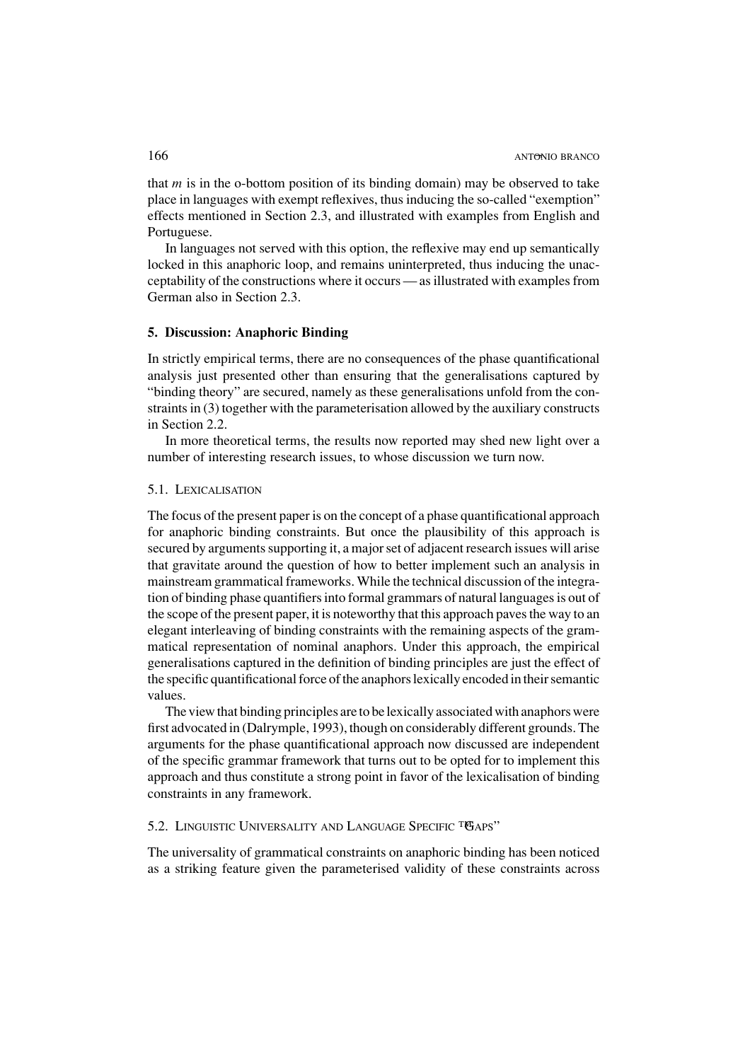that *m* is in the o-bottom position of its binding domain) may be observed to take place in languages with exempt reflexives, thus inducing the so-called "exemption" effects mentioned in Section 2.3, and illustrated with examples from English and Portuguese.

In languages not served with this option, the reflexive may end up semantically locked in this anaphoric loop, and remains uninterpreted, thus inducing the unacceptability of the constructions where it occurs — as illustrated with examples from German also in Section 2.3.

# **5. Discussion: Anaphoric Binding**

In strictly empirical terms, there are no consequences of the phase quantificational analysis just presented other than ensuring that the generalisations captured by "binding theory" are secured, namely as these generalisations unfold from the constraints in (3) together with the parameterisation allowed by the auxiliary constructs in Section 2.2.

In more theoretical terms, the results now reported may shed new light over a number of interesting research issues, to whose discussion we turn now.

# 5.1. LEXICALISATION

The focus of the present paper is on the concept of a phase quantificational approach for anaphoric binding constraints. But once the plausibility of this approach is secured by arguments supporting it, a major set of adjacent research issues will arise that gravitate around the question of how to better implement such an analysis in mainstream grammatical frameworks. While the technical discussion of the integration of binding phase quantifiers into formal grammars of natural languages is out of the scope of the present paper, it is noteworthy that this approach paves the way to an elegant interleaving of binding constraints with the remaining aspects of the grammatical representation of nominal anaphors. Under this approach, the empirical generalisations captured in the definition of binding principles are just the effect of the specific quantificational force of the anaphors lexically encoded in their semantic values.

The view that binding principles are to be lexically associated with anaphors were first advocated in (Dalrymple, 1993), though on considerably different grounds. The arguments for the phase quantificational approach now discussed are independent of the specific grammar framework that turns out to be opted for to implement this approach and thus constitute a strong point in favor of the lexicalisation of binding constraints in any framework.

# 5.2. LINGUISTIC UNIVERSALITY AND LANGUAGE SPECIFIC <sup>T</sup>GAPS"

The universality of grammatical constraints on anaphoric binding has been noticed as a striking feature given the parameterised validity of these constraints across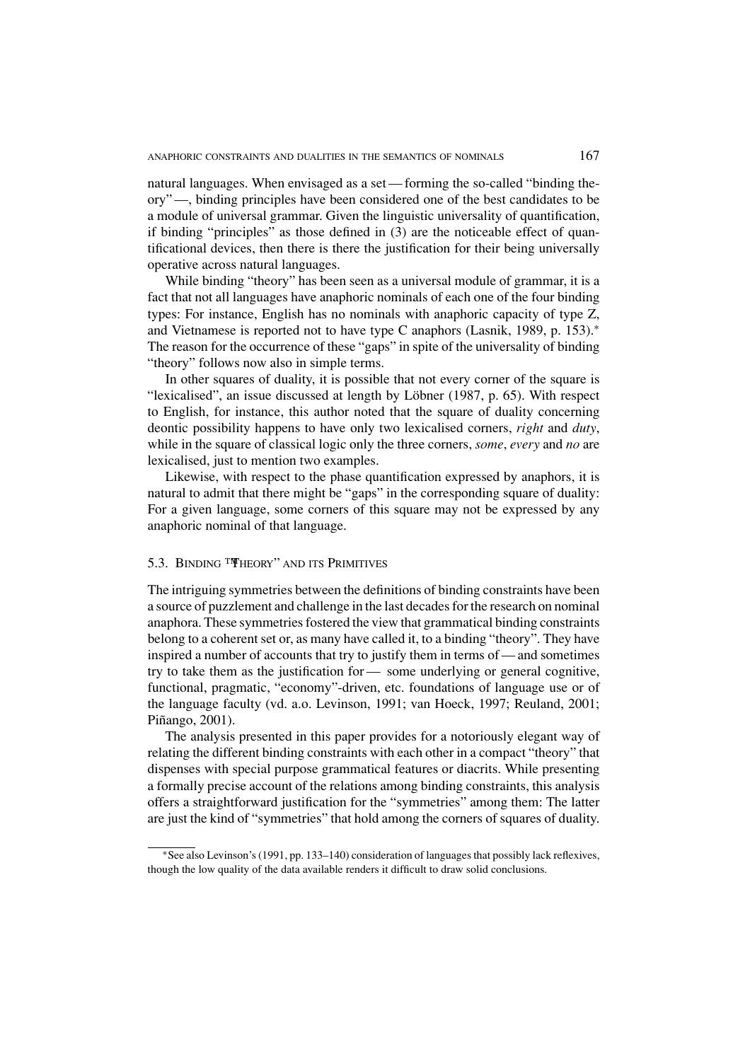natural languages. When envisaged as a set — forming the so-called "binding theory" —, binding principles have been considered one of the best candidates to be a module of universal grammar. Given the linguistic universality of quantification, if binding "principles" as those defined in (3) are the noticeable effect of quantificational devices, then there is there the justification for their being universally operative across natural languages.

While binding "theory" has been seen as a universal module of grammar, it is a fact that not all languages have anaphoric nominals of each one of the four binding types: For instance, English has no nominals with anaphoric capacity of type Z, and Vietnamese is reported not to have type C anaphors (Lasnik, 1989, p. 153).<sup>∗</sup> The reason for the occurrence of these "gaps" in spite of the universality of binding "theory" follows now also in simple terms.

In other squares of duality, it is possible that not every corner of the square is "lexicalised", an issue discussed at length by Löbner (1987, p. 65). With respect to English, for instance, this author noted that the square of duality concerning deontic possibility happens to have only two lexicalised corners, *right* and *duty*, while in the square of classical logic only the three corners, *some*, *every* and *no* are lexicalised, just to mention two examples.

Likewise, with respect to the phase quantification expressed by anaphors, it is natural to admit that there might be "gaps" in the corresponding square of duality: For a given language, some corners of this square may not be expressed by any anaphoric nominal of that language.

# 5.3. BINDING <sup>T</sup>THEORY" AND ITS PRIMITIVES

The intriguing symmetries between the definitions of binding constraints have been a source of puzzlement and challenge in the last decades for the research on nominal anaphora. These symmetries fostered the view that grammatical binding constraints belong to a coherent set or, as many have called it, to a binding "theory". They have inspired a number of accounts that try to justify them in terms of — and sometimes try to take them as the justification for — some underlying or general cognitive, functional, pragmatic, "economy"-driven, etc. foundations of language use or of the language faculty (vd. a.o. Levinson, 1991; van Hoeck, 1997; Reuland, 2001; Piñango, 2001).

The analysis presented in this paper provides for a notoriously elegant way of relating the different binding constraints with each other in a compact "theory" that dispenses with special purpose grammatical features or diacrits. While presenting a formally precise account of the relations among binding constraints, this analysis offers a straightforward justification for the "symmetries" among them: The latter are just the kind of "symmetries" that hold among the corners of squares of duality.

<sup>∗</sup>See also Levinson's (1991, pp. 133–140) consideration of languages that possibly lack reflexives, though the low quality of the data available renders it difficult to draw solid conclusions.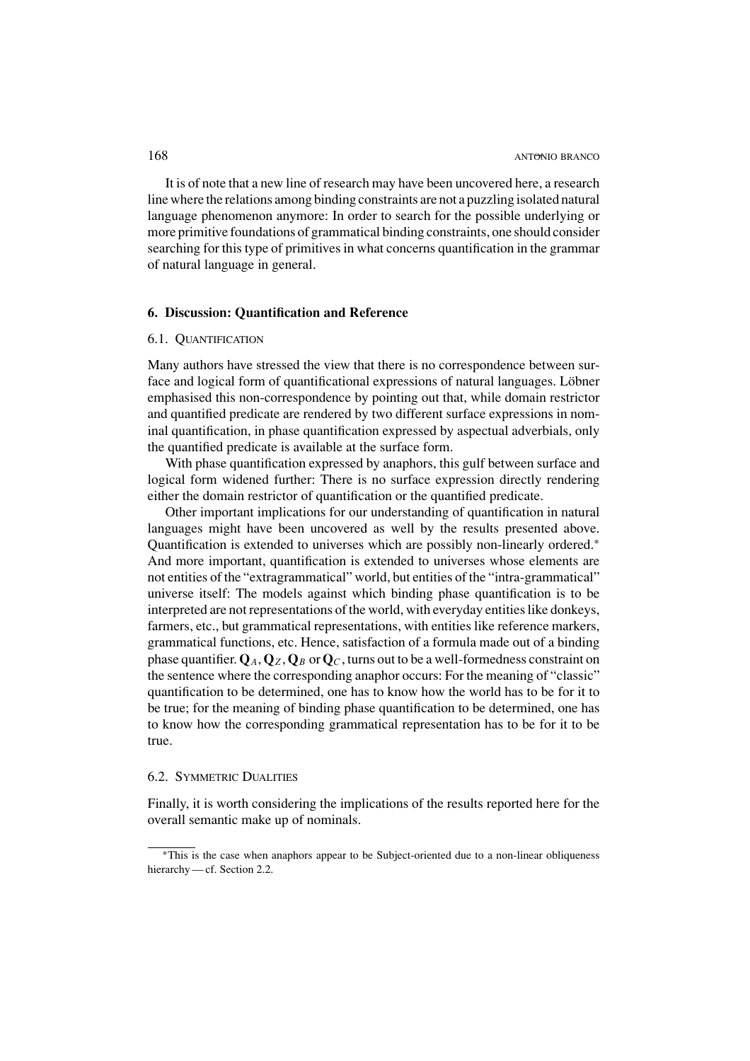It is of note that a new line of research may have been uncovered here, a research line where the relations among binding constraints are not a puzzling isolated natural language phenomenon anymore: In order to search for the possible underlying or more primitive foundations of grammatical binding constraints, one should consider searching for this type of primitives in what concerns quantification in the grammar of natural language in general.

# **6. Discussion: Quantification and Reference**

# 6.1. QUANTIFICATION

Many authors have stressed the view that there is no correspondence between surface and logical form of quantificational expressions of natural languages. Löbner emphasised this non-correspondence by pointing out that, while domain restrictor and quantified predicate are rendered by two different surface expressions in nominal quantification, in phase quantification expressed by aspectual adverbials, only the quantified predicate is available at the surface form.

With phase quantification expressed by anaphors, this gulf between surface and logical form widened further: There is no surface expression directly rendering either the domain restrictor of quantification or the quantified predicate.

Other important implications for our understanding of quantification in natural languages might have been uncovered as well by the results presented above. Quantification is extended to universes which are possibly non-linearly ordered.<sup>∗</sup> And more important, quantification is extended to universes whose elements are not entities of the "extragrammatical" world, but entities of the "intra-grammatical" universe itself: The models against which binding phase quantification is to be interpreted are not representations of the world, with everyday entities like donkeys, farmers, etc., but grammatical representations, with entities like reference markers, grammatical functions, etc. Hence, satisfaction of a formula made out of a binding phase quantifier.  $Q_A$ ,  $Q_Z$ ,  $Q_B$  or  $Q_C$ , turns out to be a well-formedness constraint on the sentence where the corresponding anaphor occurs: For the meaning of "classic" quantification to be determined, one has to know how the world has to be for it to be true; for the meaning of binding phase quantification to be determined, one has to know how the corresponding grammatical representation has to be for it to be true.

# 6.2. SYMMETRIC DUALITIES

Finally, it is worth considering the implications of the results reported here for the overall semantic make up of nominals.

<sup>∗</sup>This is the case when anaphors appear to be Subject-oriented due to a non-linear obliqueness hierarchy — cf. Section 2.2.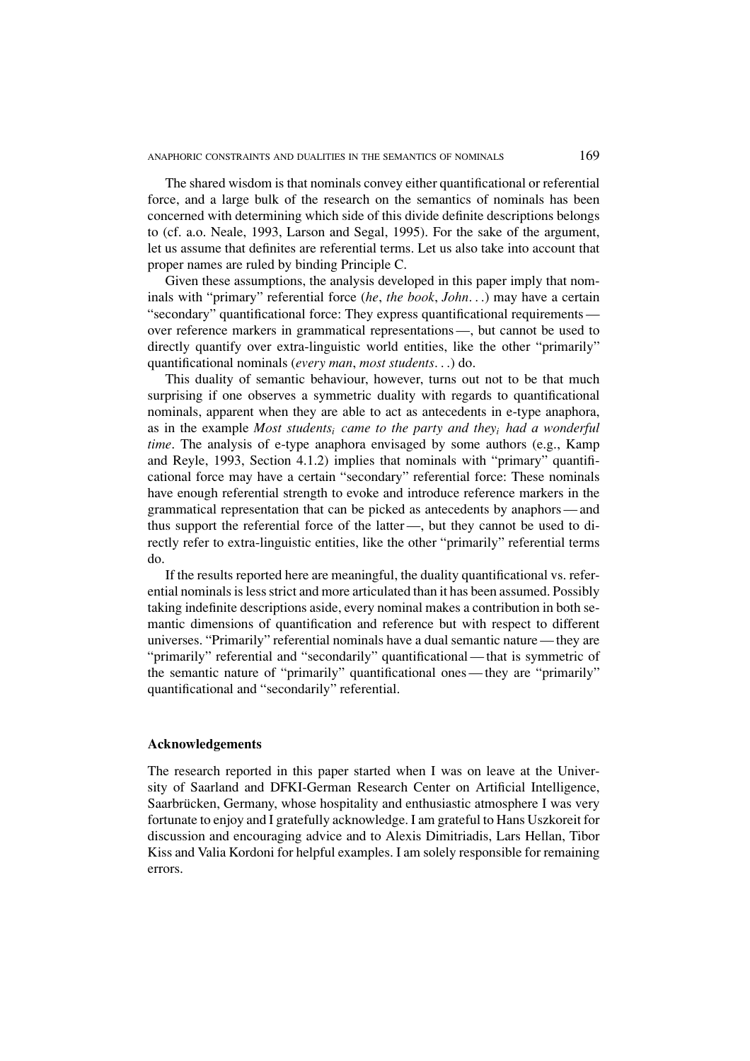The shared wisdom is that nominals convey either quantificational or referential force, and a large bulk of the research on the semantics of nominals has been concerned with determining which side of this divide definite descriptions belongs to (cf. a.o. Neale, 1993, Larson and Segal, 1995). For the sake of the argument, let us assume that definites are referential terms. Let us also take into account that proper names are ruled by binding Principle C.

Given these assumptions, the analysis developed in this paper imply that nominals with "primary" referential force (*he*, *the book*, *John*...) may have a certain "secondary" quantificational force: They express quantificational requirements over reference markers in grammatical representations —, but cannot be used to directly quantify over extra-linguistic world entities, like the other "primarily" quantificational nominals (*every man*, *most students*...) do.

This duality of semantic behaviour, however, turns out not to be that much surprising if one observes a symmetric duality with regards to quantificational nominals, apparent when they are able to act as antecedents in e-type anaphora, as in the example *Most studentsi came to the party and theyi had a wonderful time*. The analysis of e-type anaphora envisaged by some authors (e.g., Kamp and Reyle, 1993, Section 4.1.2) implies that nominals with "primary" quantificational force may have a certain "secondary" referential force: These nominals have enough referential strength to evoke and introduce reference markers in the grammatical representation that can be picked as antecedents by anaphors — and thus support the referential force of the latter —, but they cannot be used to directly refer to extra-linguistic entities, like the other "primarily" referential terms do.

If the results reported here are meaningful, the duality quantificational vs. referential nominals is less strict and more articulated than it has been assumed. Possibly taking indefinite descriptions aside, every nominal makes a contribution in both semantic dimensions of quantification and reference but with respect to different universes. "Primarily" referential nominals have a dual semantic nature — they are "primarily" referential and "secondarily" quantificational — that is symmetric of the semantic nature of "primarily" quantificational ones — they are "primarily" quantificational and "secondarily" referential.

# **Acknowledgements**

The research reported in this paper started when I was on leave at the University of Saarland and DFKI-German Research Center on Artificial Intelligence, Saarbrücken, Germany, whose hospitality and enthusiastic atmosphere I was very fortunate to enjoy and I gratefully acknowledge. I am grateful to Hans Uszkoreit for discussion and encouraging advice and to Alexis Dimitriadis, Lars Hellan, Tibor Kiss and Valia Kordoni for helpful examples. I am solely responsible for remaining errors.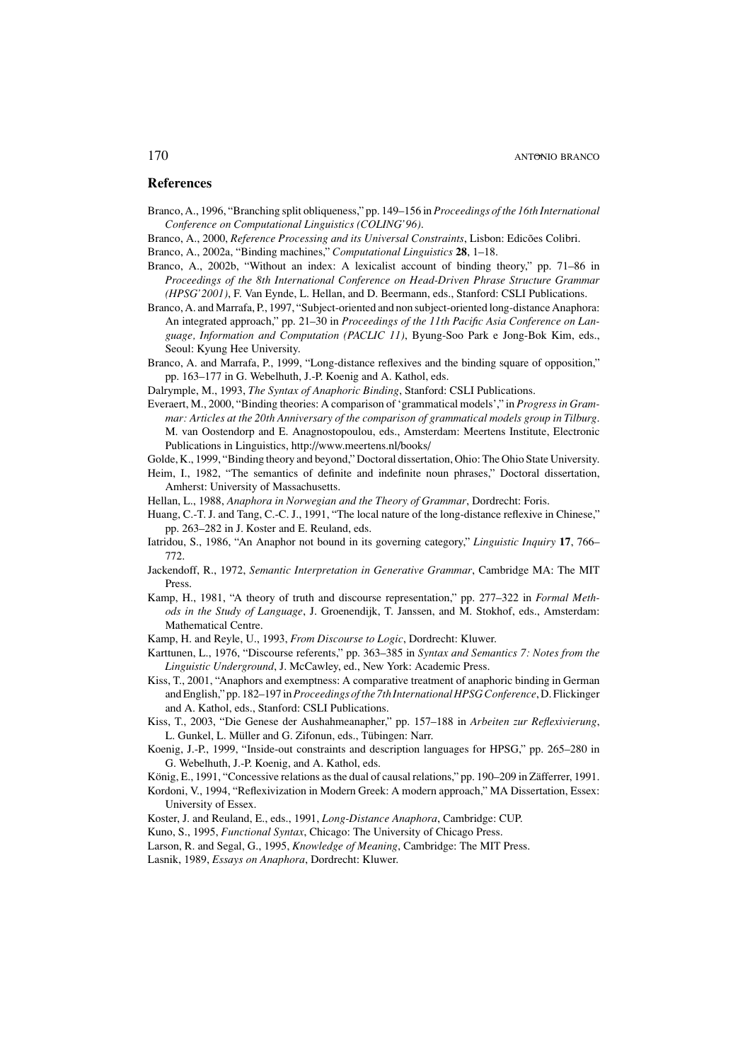#### **References**

- Branco, A., 1996, "Branching split obliqueness," pp. 149–156 in *Proceedings of the 16th International Conference on Computational Linguistics (COLING'96)*.
- Branco, A., 2000, *Reference Processing and its Universal Constraints*, Lisbon: Edicões Colibri.

Branco, A., 2002a, "Binding machines," *Computational Linguistics* **28**, 1–18.

- Branco, A., 2002b, "Without an index: A lexicalist account of binding theory," pp. 71–86 in *Proceedings of the 8th International Conference on Head-Driven Phrase Structure Grammar (HPSG'2001)*, F. Van Eynde, L. Hellan, and D. Beermann, eds., Stanford: CSLI Publications.
- Branco, A. and Marrafa, P., 1997, "Subject-oriented and non subject-oriented long-distance Anaphora: An integrated approach," pp. 21–30 in *Proceedings of the 11th Pacific Asia Conference on Language, Information and Computation (PACLIC 11)*, Byung-Soo Park e Jong-Bok Kim, eds., Seoul: Kyung Hee University.
- Branco, A. and Marrafa, P., 1999, "Long-distance reflexives and the binding square of opposition," pp. 163–177 in G. Webelhuth, J.-P. Koenig and A. Kathol, eds.
- Dalrymple, M., 1993, *The Syntax of Anaphoric Binding*, Stanford: CSLI Publications.
- Everaert, M., 2000, "Binding theories: A comparison of 'grammatical models'," in *Progress in Grammar: Articles at the 20th Anniversary of the comparison of grammatical models group in Tilburg*. M. van Oostendorp and E. Anagnostopoulou, eds., Amsterdam: Meertens Institute, Electronic Publications in Linguistics, http://www.meertens.nl/books/
- Golde, K., 1999, "Binding theory and beyond," Doctoral dissertation, Ohio: The Ohio State University.
- Heim, I., 1982, "The semantics of definite and indefinite noun phrases," Doctoral dissertation, Amherst: University of Massachusetts.
- Hellan, L., 1988, *Anaphora in Norwegian and the Theory of Grammar*, Dordrecht: Foris.
- Huang, C.-T. J. and Tang, C.-C. J., 1991, "The local nature of the long-distance reflexive in Chinese," pp. 263–282 in J. Koster and E. Reuland, eds.
- Iatridou, S., 1986, "An Anaphor not bound in its governing category," *Linguistic Inquiry* **17**, 766– 772.
- Jackendoff, R., 1972, *Semantic Interpretation in Generative Grammar*, Cambridge MA: The MIT Press.
- Kamp, H., 1981, "A theory of truth and discourse representation," pp. 277–322 in *Formal Methods in the Study of Language*, J. Groenendijk, T. Janssen, and M. Stokhof, eds., Amsterdam: Mathematical Centre.
- Kamp, H. and Reyle, U., 1993, *From Discourse to Logic*, Dordrecht: Kluwer.
- Karttunen, L., 1976, "Discourse referents," pp. 363–385 in *Syntax and Semantics 7: Notes from the Linguistic Underground*, J. McCawley, ed., New York: Academic Press.
- Kiss, T., 2001, "Anaphors and exemptness: A comparative treatment of anaphoric binding in German and English," pp. 182–197 in*Proceedings of the 7th International HPSG Conference*, D. Flickinger and A. Kathol, eds., Stanford: CSLI Publications.
- Kiss, T., 2003, "Die Genese der Aushahmeanapher," pp. 157–188 in *Arbeiten zur Reflexivierung*, L. Gunkel, L. Müller and G. Zifonun, eds., Tübingen: Narr.
- Koenig, J.-P., 1999, "Inside-out constraints and description languages for HPSG," pp. 265–280 in G. Webelhuth, J.-P. Koenig, and A. Kathol, eds.
- König, E., 1991, "Concessive relations as the dual of causal relations," pp. 190–209 in Zäfferrer, 1991.
- Kordoni, V., 1994, "Reflexivization in Modern Greek: A modern approach," MA Dissertation, Essex: University of Essex.
- Koster, J. and Reuland, E., eds., 1991, *Long-Distance Anaphora*, Cambridge: CUP.
- Kuno, S., 1995, *Functional Syntax*, Chicago: The University of Chicago Press.
- Larson, R. and Segal, G., 1995, *Knowledge of Meaning*, Cambridge: The MIT Press.
- Lasnik, 1989, *Essays on Anaphora*, Dordrecht: Kluwer.